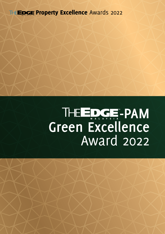**THE EDGE Property Excellence Awards 2022** 

# THE EDGE-PAM **Green Excellence** Award 2022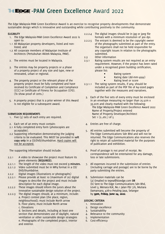## **THE EDGE-PAM Green Excellence Award 2022**

*The Edge Malaysia*-PAM Green Excellence Award is an exercise to recognise property developments that demonstrate sustainable design which is innovative and outstanding while contributing positively to the community.

#### **ELIGIBILITY**

- 1. *The Edge Malaysia*-PAM Green Excellence Award 2022 is open to:
- 1.1 All Malaysian property developers, listed and nonlisted; and
- 1.2 All corporate members of Malaysian Institute of Architects (Pertubuhan Akitek Malaysia, PAM).
- 2. The entries must be located in Malaysia.
- 3. The entries may be property projects or a phase of a property project of any size and type, new or renovated, urban or regional.
- 4. The property project or the relevant phase of the property project must be fully completed and have received its Certificate of Completion and Compliance (CCC) or Certificate of Fitness for Occupation (CFO). (To show proof of certs.)
- 5. A property project that is a prior winner of this Award is not eligible for a subsequent award.

### **SUBMISSION REQUIREMENTS**

- 1. Five (5) sets of each entry are required.
- 2. Each set of an entry must contain:
- 2.1 A fully completed entry form (photocopies are acceptable).
- 2.2 Supporting information demonstrating the judging criteria to be evaluated. This MUST be provided in **soft copy only** in a CD/DVD/thumbdrive. Hard copies will not be accepted.

The supporting information should include:

- 2.2.1 A video to showcase the project must feature its green elements **(REQUIRED).**
- 2.2.1.1 The length of the video must not exceed **3 minutes.**
- 2.2.1.2 Video submitted must be in MP4 format in a CD/ DVD/thumbdrive.
- 2.2.2 Digital images (illustrations or photographs)
- 2.2.2.1 Please provide at least 10 (maximum of 20) digital images to describe the project and must include description for each digital image.
- 2.2.2.2 These images should inform the jurors about the innovative sustainable design solution of the project.
- 2.2.2.3 The digital images should, at a minimum, include: a. Project context plan (the place, region, neighbourhood); must include North arrow b. Floor plans; must include North arrow
	- c. Elevations

 d. Sections and details, including at least one section that demonstrates use of daylight, natural ventilation or other sustainable design strategies e. Photographs of the completed project, interior and exterior.

- 2.2.2.4 The digital images should be in jpg or jpeg file formats with a minimum resolution of 300 dpi.
- 2.2.2.5 The entrant is deemed to be the copyright owner of the photographs submitted as part of the entry. The organisers shall not be held responsible for any copyright issues in relation to the photographs submitted.
- 2.3 Other information
- 2.3.1 Rating system results are not required as an entry requirement. However, if the project has been rated under a recognised green building certification, please list:
	- Rating system
	- Rating date (dd-mm-yyyy)
	- Rating level or score
- 2.3.1.1 The rating system results, if any, should be included as part of the PDF file of A4-sized pages together with the measures and narratives.
	- 3. Each of the five sets of every entry must be enclosed in an envelope measuring no larger than 25.5cm x 33.2cm and clearly marked with the following: *The Edge Malaysia*-PAM Green Excellence Award 2022 Name of Property/Project entered Name of Property Developer/Architect Set 1 (2…etc.) of 5
- 4. Entries are free of charge.
- 5. All entries submitted will become the property of The Edge Communications Sdn Bhd and will not be returned. The Edge Communications also reserves the right to retain all submitted material for the purposes of publication and exhibition.
- 6. Proof of postage is not proof of receipt. No correspondence will be entertained for any damage, loss or late submissions.
- 7. All expenses incurred in the submission of entries (including carriage and postage) are to be borne by the party submitting the entries.
- 8. Submission materials can be (a) Emailed to tepea@bizedge.com **OR** (b) Sent to The Edge Communications Sdn Bhd, Level 3, Menara KLK, No.1 Jalan PJU 7/6, Mutiara Damansara, 47810 Petaling Jaya, Selangor by 5pm, Friday, June 24, 2022.

### **JUDGING CRITERIA**

- 1. Innovation
- 2. Design excellence
- 3. Sustainability
- 4. Relevance to the community
- 5. Implementation
- 6. Cost-efficiency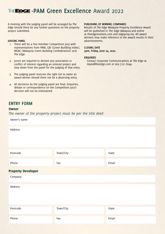### **THEEDGE-PAM Green Excellence Award 2022**

A meeting with the judging panel will be arranged by *The Edge* should there be any further questions on the property project submitted.

### **JUDGING PANEL**

- 1. There will be a five-member Competition Jury with representatives from PAM, GBI (Green Building Index), MGBC (Malaysia Green Building Confederation) and *The Edge*.
- 2. Jurors are required to declare any association or conflict of interest regarding an entered project and step down from the panel for the judging of that entry.
- 3. The judging panel reserves the right not to name an award winner should there not be a deserving entry.
- 4. All decisions by the judging panel are final. Enquiries, debate or correspondence on the Competition Jury's decision will not be entertained.

#### **PUBLISHING OF WINNING COMPANIES**

Results of *The Edge Malaysia* Property Excellence Award will be published in The Edge Malaysia and online at theedgemarkets.com and edgeprop.my. All award winners may make reference to the award results in their advertisements.

#### **CLOSING DATE 5pm, Friday, June 24, 2022**.

#### **ENQUIRIES**

Contact Corporate Communications at *The Edge* at tepea@bizedge.com or 603-7721 8244.

### **ENTRY FORM**

### **Owner**

*The owner of the property project must be per the title deed*

| Owner's name              |           |       |  |  |  |
|---------------------------|-----------|-------|--|--|--|
| Address                   |           |       |  |  |  |
| Postcode                  | Town/City | State |  |  |  |
| Phone                     | Fax       | Email |  |  |  |
| <b>Property Developer</b> |           |       |  |  |  |
| Company                   |           |       |  |  |  |
| Address                   |           |       |  |  |  |
| Postcode                  | Town/City | State |  |  |  |
| Phone                     | Fax       | Email |  |  |  |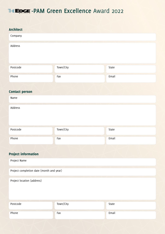# THE EDGE - PAM Green Excellence Award 2022

| <b>Architect</b>                         |           |       |  |  |  |
|------------------------------------------|-----------|-------|--|--|--|
| Company                                  |           |       |  |  |  |
| Address                                  |           |       |  |  |  |
| Postcode                                 | Town/City | State |  |  |  |
| Phone                                    | Fax       | Email |  |  |  |
| <b>Contact person</b>                    |           |       |  |  |  |
| Name                                     |           |       |  |  |  |
| Address                                  |           |       |  |  |  |
| Postcode                                 | Town/City | State |  |  |  |
| Phone                                    | Fax       | Email |  |  |  |
|                                          |           |       |  |  |  |
| <b>Project information</b>               |           |       |  |  |  |
| Project Name                             |           |       |  |  |  |
| Project completion date (month and year) |           |       |  |  |  |
| Project location (address)               |           |       |  |  |  |
| Postcode                                 | Town/City | State |  |  |  |
| Phone                                    | Fax       | Email |  |  |  |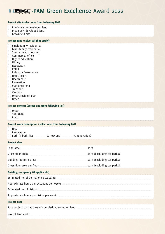### **THEEDGE-PAM Green Excellence Award 2022**

### Project site (select one from following list)

[ ] Previously undeveloped land

[ ] Previously developed land

[ ] Brownfield site

### Project type (select all that apply)

| ſ | Single-family residential                    |
|---|----------------------------------------------|
|   | [ ] Multi-family residential                 |
| ſ | Special needs housing                        |
|   | [] Commercial office                         |
|   | [ ] Higher education                         |
|   | [ ] Library                                  |
|   | [ ] Restaurant                               |
|   | [ ] Retail                                   |
|   | [ ] Industrial/warehouse                     |
|   | [ ] Hotel/resort                             |
|   | [ ] Health care                              |
|   | [ ] Recreation                               |
|   | [] Stadium/arena                             |
|   | $\begin{bmatrix} \end{bmatrix}$<br>Transport |
|   | $[$ ] Campus                                 |
| ſ | Urban/regional plan                          |

[  $|$  0ther:

### Project context (select one from following list)

[ ] Urban

[ ] Suburban

[ ] Rural

#### Project work description (select one from following list)

| New<br>Renovation<br>] Both (If both, list _____________ % new and ________ % renovation)                    |                             |
|--------------------------------------------------------------------------------------------------------------|-----------------------------|
| <b>Project size</b>                                                                                          |                             |
|                                                                                                              | sa ft                       |
| Gross floor area:                                                                                            | sq ft (excluding car parks) |
| Building footprint area: Manual Manual Manual Manual Manual Manual Manual Manual Manual Manual Manual Manual | sq ft (excluding car parks) |
|                                                                                                              | sq ft (excluding car parks) |

### Building occupancy (if applicable)

Estimated no. of permanent occupants: Approximate hours per occupant per week: Estimated no. of visitors: Approximate hours per visitor per week: Project cost

Total project cost at time of completion, excluding land:

Project land cost: